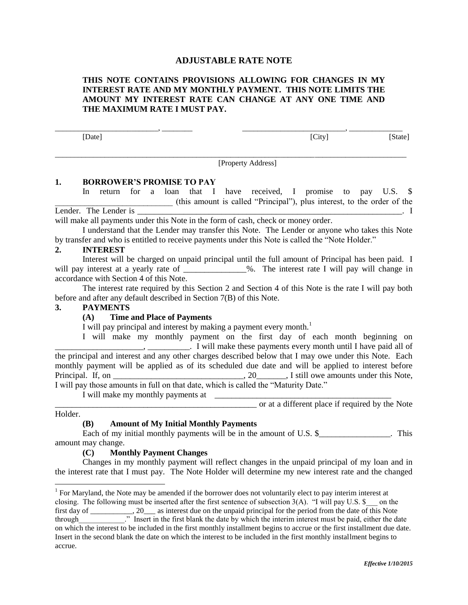## **ADJUSTABLE RATE NOTE**

## **THIS NOTE CONTAINS PROVISIONS ALLOWING FOR CHANGES IN MY INTEREST RATE AND MY MONTHLY PAYMENT. THIS NOTE LIMITS THE AMOUNT MY INTEREST RATE CAN CHANGE AT ANY ONE TIME AND THE MAXIMUM RATE I MUST PAY.**

\_\_\_\_\_\_\_\_\_\_\_\_\_\_\_\_\_\_\_\_\_\_\_\_\_\_\_, \_\_\_\_\_\_\_\_ \_\_\_\_\_\_\_\_\_\_\_\_\_\_\_\_\_\_\_\_\_\_\_\_\_\_\_, \_\_\_\_\_\_\_\_\_\_\_\_\_\_ [Date] [City] [State]

 $\overline{a}$  , and the contribution of the contribution of the contribution of the contribution of the contribution of the contribution of the contribution of the contribution of the contribution of the contribution of the co [Property Address]

#### **1. BORROWER'S PROMISE TO PAY**

In return for a loan that I have received, I promise to pay U.S. \$ \_\_\_\_\_\_\_\_\_\_\_\_\_\_\_\_\_\_\_\_\_\_\_\_\_\_\_\_ (this amount is called "Principal"), plus interest, to the order of the Lender. The Lender is \_\_\_\_\_\_\_\_\_\_\_\_\_\_\_\_\_\_\_\_\_\_\_\_\_\_\_\_\_\_\_\_\_\_\_\_\_\_\_\_\_\_\_\_\_\_\_\_\_\_\_\_\_\_\_\_\_\_\_\_\_\_\_. I will make all payments under this Note in the form of cash, check or money order.

I understand that the Lender may transfer this Note. The Lender or anyone who takes this Note by transfer and who is entitled to receive payments under this Note is called the "Note Holder."

#### **2. INTEREST**

Interest will be charged on unpaid principal until the full amount of Principal has been paid. I will pay interest at a yearly rate of \_\_\_\_\_\_\_\_\_\_\_\_\_\_%. The interest rate I will pay will change in accordance with Section 4 of this Note.

The interest rate required by this Section 2 and Section 4 of this Note is the rate I will pay both before and after any default described in Section 7(B) of this Note.

#### **3. PAYMENTS**

#### **(A) Time and Place of Payments**

I will pay principal and interest by making a payment every month.<sup>1</sup>

I will make my monthly payment on the first day of each month beginning on  $\overline{\phantom{a}}$ , \_\_\_\_\_\_\_\_\_\_. I will make these payments every month until I have paid all of the principal and interest and any other charges described below that I may owe under this Note. Each monthly payment will be applied as of its scheduled due date and will be applied to interest before Principal. If, on \_\_\_\_\_\_\_\_\_\_\_\_\_\_\_\_\_\_\_\_\_\_\_\_\_\_\_\_\_\_, 20\_\_\_\_\_\_\_, I still owe amounts under this Note, I will pay those amounts in full on that date, which is called the "Maturity Date."

I will make my monthly payments at

\_\_\_\_\_\_\_\_\_\_\_\_\_\_\_\_\_\_\_\_\_\_\_\_\_\_\_\_\_\_\_\_\_\_\_\_\_\_\_\_\_\_\_\_\_\_\_\_ or at a different place if required by the Note

#### Holder.

## **(B) Amount of My Initial Monthly Payments**

Each of my initial monthly payments will be in the amount of U.S. \$\_\_\_\_\_\_\_\_\_\_\_\_\_\_\_. This amount may change.

#### **(C) Monthly Payment Changes**

Changes in my monthly payment will reflect changes in the unpaid principal of my loan and in the interest rate that I must pay. The Note Holder will determine my new interest rate and the changed

 1 For Maryland, the Note may be amended if the borrower does not voluntarily elect to pay interim interest at closing. The following must be inserted after the first sentence of subsection  $3(A)$ . "I will pay U.S. \$ \_\_ on the first day of \_\_\_\_\_\_\_\_\_\_\_, 20\_\_\_ as interest due on the unpaid principal for the period from the date of this Note through The same the first blank the date by which the interim interest must be paid, either the date on which the interest to be included in the first monthly installment begins to accrue or the first installment due date. Insert in the second blank the date on which the interest to be included in the first monthly installment begins to accrue.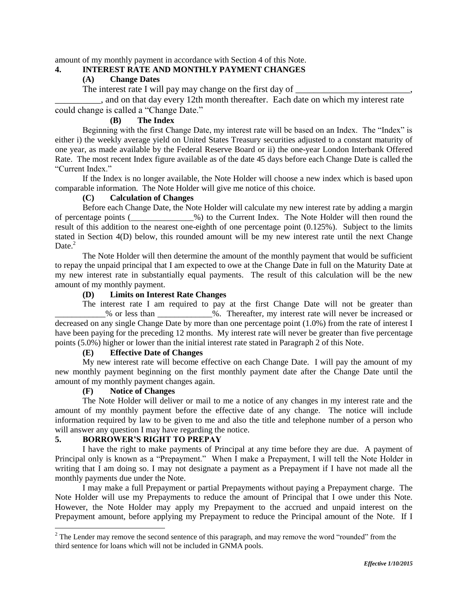amount of my monthly payment in accordance with Section 4 of this Note.

## **4. INTEREST RATE AND MONTHLY PAYMENT CHANGES**

# **(A) Change Dates**

The interest rate I will pay may change on the first day of

\_\_\_\_\_\_\_\_\_\_, and on that day every 12th month thereafter. Each date on which my interest rate could change is called a "Change Date."

## **(B) The Index**

Beginning with the first Change Date, my interest rate will be based on an Index. The "Index" is either i) the weekly average yield on United States Treasury securities adjusted to a constant maturity of one year, as made available by the Federal Reserve Board or ii) the one-year London Interbank Offered Rate. The most recent Index figure available as of the date 45 days before each Change Date is called the "Current Index."

If the Index is no longer available, the Note Holder will choose a new index which is based upon comparable information. The Note Holder will give me notice of this choice.

## **(C) Calculation of Changes**

Before each Change Date, the Note Holder will calculate my new interest rate by adding a margin of percentage points (\_\_\_\_\_\_\_\_\_\_\_\_\_\_\_%) to the Current Index. The Note Holder will then round the result of this addition to the nearest one-eighth of one percentage point (0.125%). Subject to the limits stated in Section 4(D) below, this rounded amount will be my new interest rate until the next Change Date.<sup>2</sup>

The Note Holder will then determine the amount of the monthly payment that would be sufficient to repay the unpaid principal that I am expected to owe at the Change Date in full on the Maturity Date at my new interest rate in substantially equal payments. The result of this calculation will be the new amount of my monthly payment.

## **(D) Limits on Interest Rate Changes**

The interest rate I am required to pay at the first Change Date will not be greater than \_\_\_\_\_\_\_\_\_\_\_\_% or less than \_\_\_\_\_\_\_\_\_\_\_\_\_%. Thereafter, my interest rate will never be increased or decreased on any single Change Date by more than one percentage point (1.0%) from the rate of interest I have been paying for the preceding 12 months. My interest rate will never be greater than five percentage points (5.0%) higher or lower than the initial interest rate stated in Paragraph 2 of this Note.

## **(E) Effective Date of Changes**

My new interest rate will become effective on each Change Date. I will pay the amount of my new monthly payment beginning on the first monthly payment date after the Change Date until the amount of my monthly payment changes again.

# **(F) Notice of Changes**

The Note Holder will deliver or mail to me a notice of any changes in my interest rate and the amount of my monthly payment before the effective date of any change. The notice will include information required by law to be given to me and also the title and telephone number of a person who will answer any question I may have regarding the notice.

## **5. BORROWER'S RIGHT TO PREPAY**

 $\overline{a}$ 

I have the right to make payments of Principal at any time before they are due. A payment of Principal only is known as a "Prepayment." When I make a Prepayment, I will tell the Note Holder in writing that I am doing so. I may not designate a payment as a Prepayment if I have not made all the monthly payments due under the Note.

I may make a full Prepayment or partial Prepayments without paying a Prepayment charge. The Note Holder will use my Prepayments to reduce the amount of Principal that I owe under this Note. However, the Note Holder may apply my Prepayment to the accrued and unpaid interest on the Prepayment amount, before applying my Prepayment to reduce the Principal amount of the Note. If I

<sup>&</sup>lt;sup>2</sup> The Lender may remove the second sentence of this paragraph, and may remove the word "rounded" from the third sentence for loans which will not be included in GNMA pools.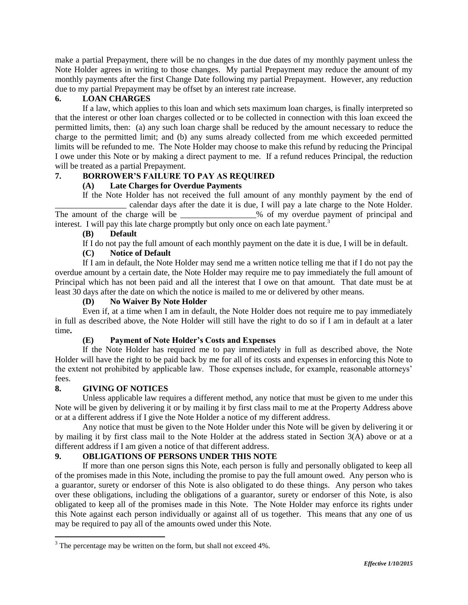make a partial Prepayment, there will be no changes in the due dates of my monthly payment unless the Note Holder agrees in writing to those changes. My partial Prepayment may reduce the amount of my monthly payments after the first Change Date following my partial Prepayment. However, any reduction due to my partial Prepayment may be offset by an interest rate increase.

## **6. LOAN CHARGES**

If a law, which applies to this loan and which sets maximum loan charges, is finally interpreted so that the interest or other loan charges collected or to be collected in connection with this loan exceed the permitted limits, then: (a) any such loan charge shall be reduced by the amount necessary to reduce the charge to the permitted limit; and (b) any sums already collected from me which exceeded permitted limits will be refunded to me. The Note Holder may choose to make this refund by reducing the Principal I owe under this Note or by making a direct payment to me. If a refund reduces Principal, the reduction will be treated as a partial Prepayment.

## **7. BORROWER'S FAILURE TO PAY AS REQUIRED**

## **(A) Late Charges for Overdue Payments**

If the Note Holder has not received the full amount of any monthly payment by the end of calendar days after the date it is due, I will pay a late charge to the Note Holder. The amount of the charge will be \_\_\_\_\_\_\_\_\_\_\_\_\_\_% of my overdue payment of principal and interest. I will pay this late charge promptly but only once on each late payment.<sup>3</sup>

## **(B) Default**

If I do not pay the full amount of each monthly payment on the date it is due, I will be in default.

## **(C) Notice of Default**

If I am in default, the Note Holder may send me a written notice telling me that if I do not pay the overdue amount by a certain date, the Note Holder may require me to pay immediately the full amount of Principal which has not been paid and all the interest that I owe on that amount. That date must be at least 30 days after the date on which the notice is mailed to me or delivered by other means.

## **(D) No Waiver By Note Holder**

Even if, at a time when I am in default, the Note Holder does not require me to pay immediately in full as described above, the Note Holder will still have the right to do so if I am in default at a later time**.**

# **(E) Payment of Note Holder's Costs and Expenses**

If the Note Holder has required me to pay immediately in full as described above, the Note Holder will have the right to be paid back by me for all of its costs and expenses in enforcing this Note to the extent not prohibited by applicable law. Those expenses include, for example, reasonable attorneys' fees.

## **8. GIVING OF NOTICES**

 $\overline{a}$ 

Unless applicable law requires a different method, any notice that must be given to me under this Note will be given by delivering it or by mailing it by first class mail to me at the Property Address above or at a different address if I give the Note Holder a notice of my different address.

Any notice that must be given to the Note Holder under this Note will be given by delivering it or by mailing it by first class mail to the Note Holder at the address stated in Section 3(A) above or at a different address if I am given a notice of that different address.

# **9. OBLIGATIONS OF PERSONS UNDER THIS NOTE**

If more than one person signs this Note, each person is fully and personally obligated to keep all of the promises made in this Note, including the promise to pay the full amount owed. Any person who is a guarantor, surety or endorser of this Note is also obligated to do these things. Any person who takes over these obligations, including the obligations of a guarantor, surety or endorser of this Note, is also obligated to keep all of the promises made in this Note. The Note Holder may enforce its rights under this Note against each person individually or against all of us together. This means that any one of us may be required to pay all of the amounts owed under this Note.

<sup>&</sup>lt;sup>3</sup> The percentage may be written on the form, but shall not exceed 4%.